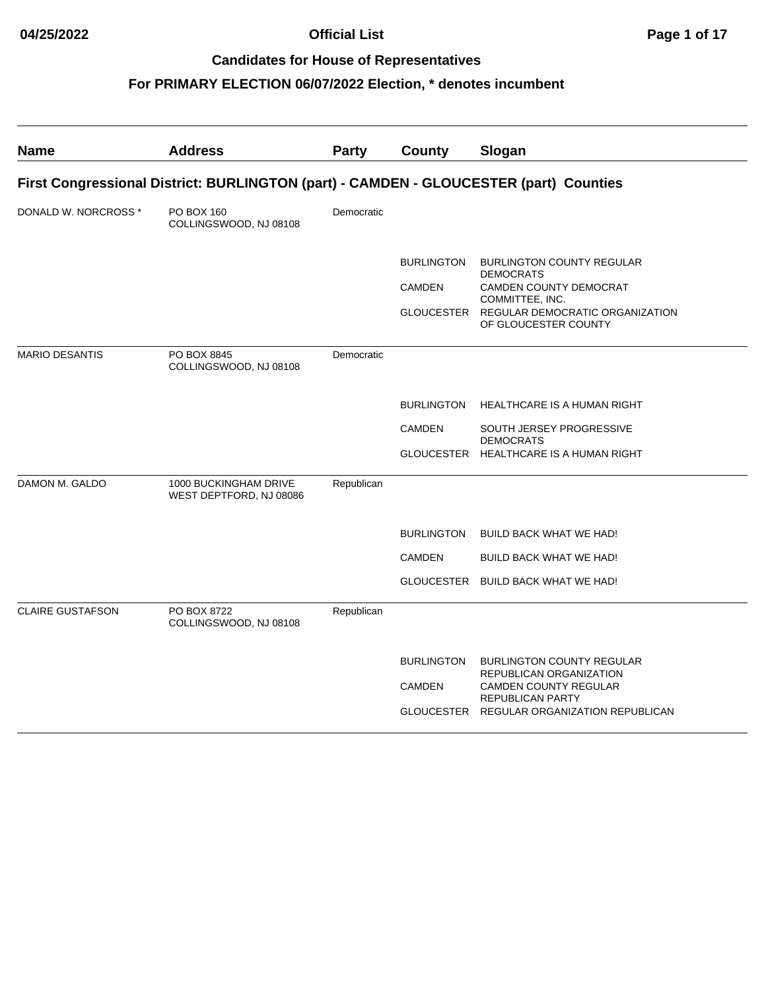| First Congressional District: BURLINGTON (part) - CAMDEN - GLOUCESTER (part) Counties |
|---------------------------------------------------------------------------------------|
|                                                                                       |
|                                                                                       |
| <b>BURLINGTON COUNTY REGULAR</b>                                                      |
| CAMDEN COUNTY DEMOCRAT                                                                |
| REGULAR DEMOCRATIC ORGANIZATION                                                       |
|                                                                                       |
| <b>HEALTHCARE IS A HUMAN RIGHT</b>                                                    |
| SOUTH JERSEY PROGRESSIVE                                                              |
| GLOUCESTER HEALTHCARE IS A HUMAN RIGHT                                                |
|                                                                                       |
| <b>BUILD BACK WHAT WE HAD!</b>                                                        |
| <b>BUILD BACK WHAT WE HAD!</b>                                                        |
| GLOUCESTER BUILD BACK WHAT WE HAD!                                                    |
|                                                                                       |
| <b>BURLINGTON COUNTY REGULAR</b><br>REPUBLICAN ORGANIZATION                           |
| <b>CAMDEN COUNTY REGULAR</b>                                                          |
| GLOUCESTER REGULAR ORGANIZATION REPUBLICAN                                            |
|                                                                                       |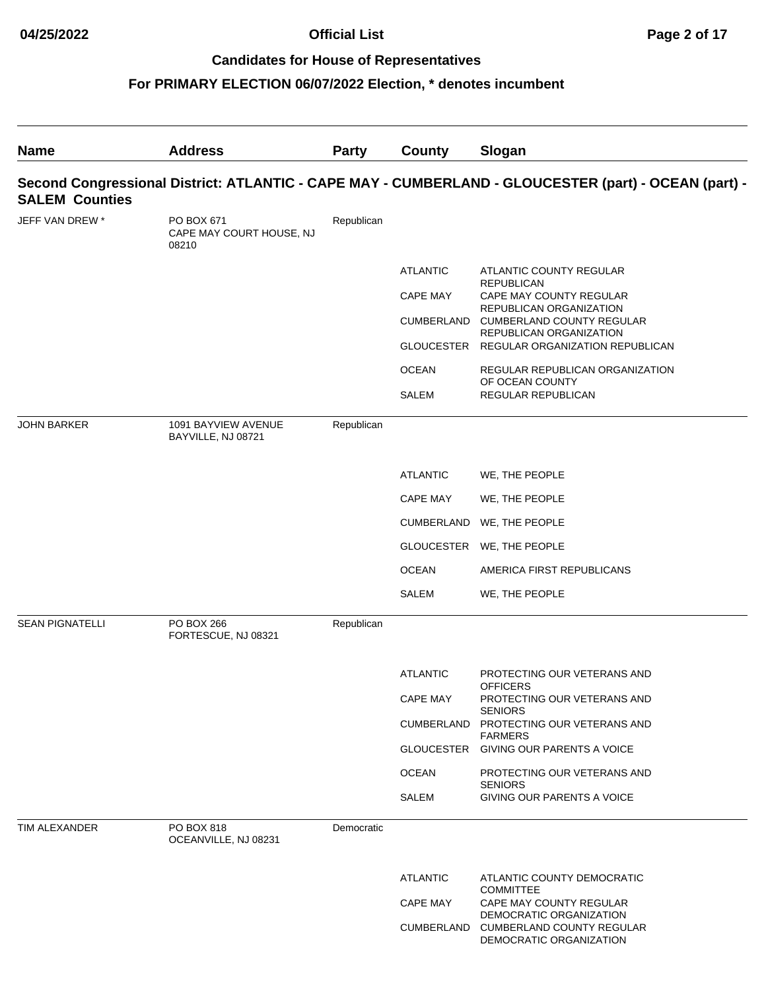| <b>Name</b>            | <b>Address</b>                                  | <b>Party</b> | County          | Slogan                                                                                               |
|------------------------|-------------------------------------------------|--------------|-----------------|------------------------------------------------------------------------------------------------------|
| <b>SALEM Counties</b>  |                                                 |              |                 | Second Congressional District: ATLANTIC - CAPE MAY - CUMBERLAND - GLOUCESTER (part) - OCEAN (part) - |
| JEFF VAN DREW *        | PO BOX 671<br>CAPE MAY COURT HOUSE, NJ<br>08210 | Republican   |                 |                                                                                                      |
|                        |                                                 |              | <b>ATLANTIC</b> | ATLANTIC COUNTY REGULAR                                                                              |
|                        |                                                 |              | <b>CAPE MAY</b> | <b>REPUBLICAN</b><br>CAPE MAY COUNTY REGULAR                                                         |
|                        |                                                 |              | CUMBERLAND      | REPUBLICAN ORGANIZATION<br><b>CUMBERLAND COUNTY REGULAR</b>                                          |
|                        |                                                 |              |                 | REPUBLICAN ORGANIZATION<br>GLOUCESTER REGULAR ORGANIZATION REPUBLICAN                                |
|                        |                                                 |              | <b>OCEAN</b>    | REGULAR REPUBLICAN ORGANIZATION                                                                      |
|                        |                                                 |              | SALEM           | OF OCEAN COUNTY<br><b>REGULAR REPUBLICAN</b>                                                         |
| <b>JOHN BARKER</b>     | 1091 BAYVIEW AVENUE<br>BAYVILLE, NJ 08721       | Republican   |                 |                                                                                                      |
|                        |                                                 |              | <b>ATLANTIC</b> | WE, THE PEOPLE                                                                                       |
|                        |                                                 |              | CAPE MAY        | WE, THE PEOPLE                                                                                       |
|                        |                                                 |              |                 | CUMBERLAND WE, THE PEOPLE                                                                            |
|                        |                                                 |              |                 | GLOUCESTER WE, THE PEOPLE                                                                            |
|                        |                                                 |              | <b>OCEAN</b>    | AMERICA FIRST REPUBLICANS                                                                            |
|                        |                                                 |              | SALEM           | WE, THE PEOPLE                                                                                       |
| <b>SEAN PIGNATELLI</b> | PO BOX 266<br>FORTESCUE, NJ 08321               | Republican   |                 |                                                                                                      |
|                        |                                                 |              | <b>ATLANTIC</b> | PROTECTING OUR VETERANS AND                                                                          |
|                        |                                                 |              | CAPE MAY        | <b>OFFICERS</b><br>PROTECTING OUR VETERANS AND                                                       |
|                        |                                                 |              |                 | <b>SENIORS</b><br>CUMBERLAND PROTECTING OUR VETERANS AND                                             |
|                        |                                                 |              |                 | <b>FARMERS</b><br>GLOUCESTER GIVING OUR PARENTS A VOICE                                              |
|                        |                                                 |              | <b>OCEAN</b>    | PROTECTING OUR VETERANS AND                                                                          |
|                        |                                                 |              | SALEM           | <b>SENIORS</b><br>GIVING OUR PARENTS A VOICE                                                         |
| TIM ALEXANDER          | PO BOX 818<br>OCEANVILLE, NJ 08231              | Democratic   |                 |                                                                                                      |
|                        |                                                 |              | <b>ATLANTIC</b> | ATLANTIC COUNTY DEMOCRATIC                                                                           |
|                        |                                                 |              | <b>CAPE MAY</b> | <b>COMMITTEE</b><br>CAPE MAY COUNTY REGULAR                                                          |
|                        |                                                 |              |                 | DEMOCRATIC ORGANIZATION<br>CUMBERLAND CUMBERLAND COUNTY REGULAR<br>DEMOCRATIC ORGANIZATION           |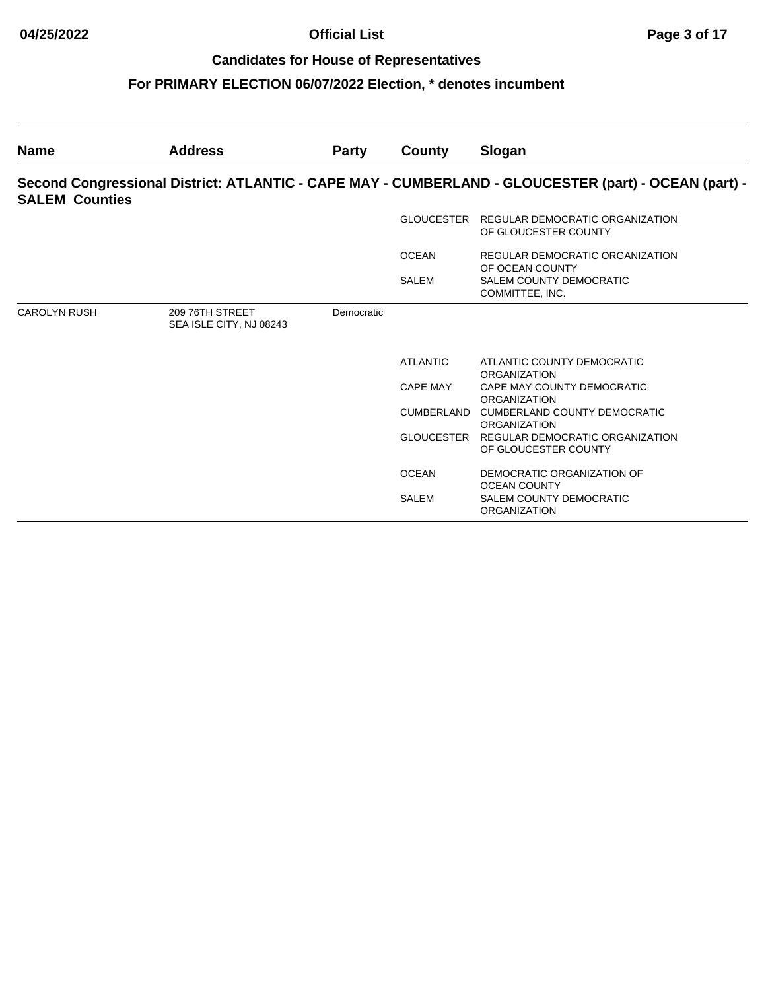| <b>Name</b>           | <b>Address</b>                             | <b>Party</b> | County          | Slogan                                                                                               |
|-----------------------|--------------------------------------------|--------------|-----------------|------------------------------------------------------------------------------------------------------|
| <b>SALEM Counties</b> |                                            |              |                 | Second Congressional District: ATLANTIC - CAPE MAY - CUMBERLAND - GLOUCESTER (part) - OCEAN (part) - |
|                       |                                            |              |                 | GLOUCESTER REGULAR DEMOCRATIC ORGANIZATION<br>OF GLOUCESTER COUNTY                                   |
|                       |                                            |              | <b>OCEAN</b>    | REGULAR DEMOCRATIC ORGANIZATION<br>OF OCEAN COUNTY                                                   |
|                       |                                            |              | <b>SALEM</b>    | <b>SALEM COUNTY DEMOCRATIC</b><br>COMMITTEE, INC.                                                    |
| <b>CAROLYN RUSH</b>   | 209 76TH STREET<br>SEA ISLE CITY, NJ 08243 | Democratic   |                 |                                                                                                      |
|                       |                                            |              | <b>ATLANTIC</b> | ATLANTIC COUNTY DEMOCRATIC<br><b>ORGANIZATION</b>                                                    |
|                       |                                            |              | CAPE MAY        | CAPE MAY COUNTY DEMOCRATIC<br><b>ORGANIZATION</b>                                                    |
|                       |                                            |              |                 | CUMBERLAND CUMBERLAND COUNTY DEMOCRATIC<br><b>ORGANIZATION</b>                                       |
|                       |                                            |              | GLOUCESTER      | REGULAR DEMOCRATIC ORGANIZATION<br>OF GLOUCESTER COUNTY                                              |
|                       |                                            |              | <b>OCEAN</b>    | DEMOCRATIC ORGANIZATION OF<br><b>OCEAN COUNTY</b>                                                    |
|                       |                                            |              | <b>SALEM</b>    | <b>SALEM COUNTY DEMOCRATIC</b><br><b>ORGANIZATION</b>                                                |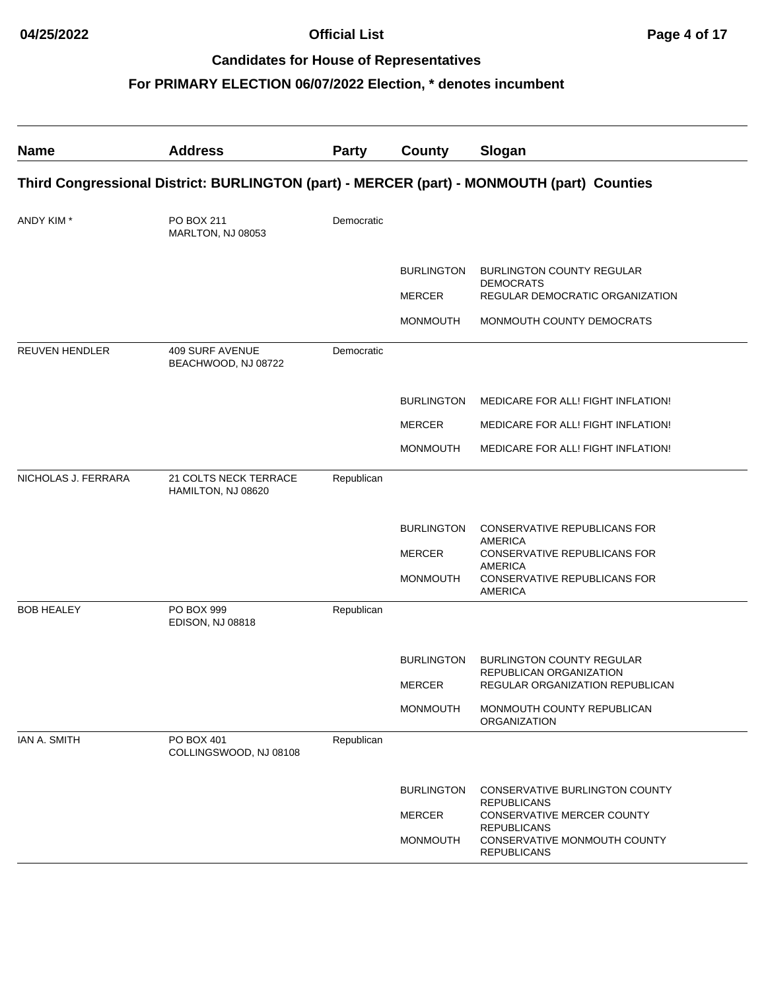| <b>Name</b>                                                                                | <b>Address</b>                                | <b>Party</b> | County                           | Slogan                                                                   |  |  |  |
|--------------------------------------------------------------------------------------------|-----------------------------------------------|--------------|----------------------------------|--------------------------------------------------------------------------|--|--|--|
| Third Congressional District: BURLINGTON (part) - MERCER (part) - MONMOUTH (part) Counties |                                               |              |                                  |                                                                          |  |  |  |
| ANDY KIM *                                                                                 | PO BOX 211<br>MARLTON, NJ 08053               | Democratic   |                                  |                                                                          |  |  |  |
|                                                                                            |                                               |              | <b>BURLINGTON</b>                | <b>BURLINGTON COUNTY REGULAR</b><br><b>DEMOCRATS</b>                     |  |  |  |
|                                                                                            |                                               |              | <b>MERCER</b><br><b>MONMOUTH</b> | REGULAR DEMOCRATIC ORGANIZATION<br>MONMOUTH COUNTY DEMOCRATS             |  |  |  |
| <b>REUVEN HENDLER</b>                                                                      | <b>409 SURF AVENUE</b><br>BEACHWOOD, NJ 08722 | Democratic   |                                  |                                                                          |  |  |  |
|                                                                                            |                                               |              | <b>BURLINGTON</b>                | MEDICARE FOR ALL! FIGHT INFLATION!                                       |  |  |  |
|                                                                                            |                                               |              | <b>MERCER</b>                    | MEDICARE FOR ALL! FIGHT INFLATION!                                       |  |  |  |
|                                                                                            |                                               |              | <b>MONMOUTH</b>                  | MEDICARE FOR ALL! FIGHT INFLATION!                                       |  |  |  |
| NICHOLAS J. FERRARA                                                                        | 21 COLTS NECK TERRACE<br>HAMILTON, NJ 08620   | Republican   |                                  |                                                                          |  |  |  |
|                                                                                            |                                               |              | <b>BURLINGTON</b>                | <b>CONSERVATIVE REPUBLICANS FOR</b><br><b>AMERICA</b>                    |  |  |  |
|                                                                                            |                                               |              | <b>MERCER</b>                    | <b>CONSERVATIVE REPUBLICANS FOR</b><br><b>AMERICA</b>                    |  |  |  |
|                                                                                            |                                               |              | <b>MONMOUTH</b>                  | CONSERVATIVE REPUBLICANS FOR<br><b>AMERICA</b>                           |  |  |  |
| <b>BOB HEALEY</b>                                                                          | PO BOX 999<br><b>EDISON, NJ 08818</b>         | Republican   |                                  |                                                                          |  |  |  |
|                                                                                            |                                               |              | <b>BURLINGTON</b>                | <b>BURLINGTON COUNTY REGULAR</b>                                         |  |  |  |
|                                                                                            |                                               |              | <b>MERCER</b>                    | REPUBLICAN ORGANIZATION<br>REGULAR ORGANIZATION REPUBLICAN               |  |  |  |
|                                                                                            |                                               |              | <b>MONMOUTH</b>                  | MONMOUTH COUNTY REPUBLICAN<br><b>ORGANIZATION</b>                        |  |  |  |
| IAN A. SMITH                                                                               | PO BOX 401<br>COLLINGSWOOD, NJ 08108          | Republican   |                                  |                                                                          |  |  |  |
|                                                                                            |                                               |              | <b>BURLINGTON</b>                | CONSERVATIVE BURLINGTON COUNTY                                           |  |  |  |
|                                                                                            |                                               |              | <b>MERCER</b>                    | <b>REPUBLICANS</b><br>CONSERVATIVE MERCER COUNTY                         |  |  |  |
|                                                                                            |                                               |              | <b>MONMOUTH</b>                  | <b>REPUBLICANS</b><br>CONSERVATIVE MONMOUTH COUNTY<br><b>REPUBLICANS</b> |  |  |  |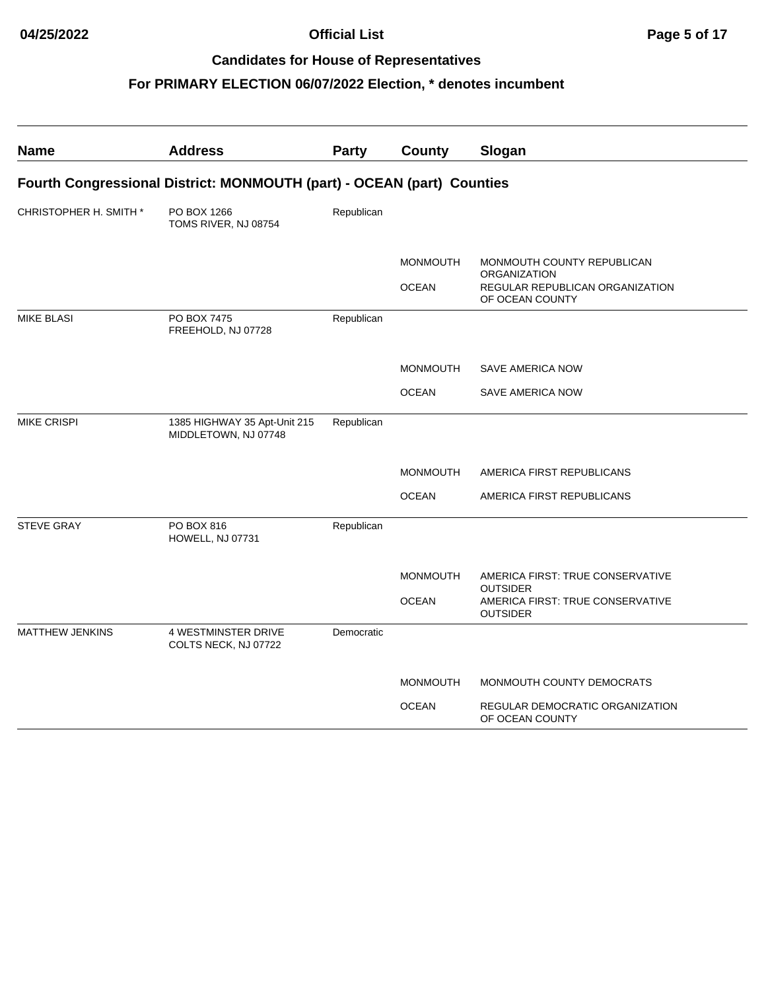| <b>Name</b>            | <b>Address</b>                                                         | Party      | County          | Slogan                                                                 |
|------------------------|------------------------------------------------------------------------|------------|-----------------|------------------------------------------------------------------------|
|                        | Fourth Congressional District: MONMOUTH (part) - OCEAN (part) Counties |            |                 |                                                                        |
| CHRISTOPHER H. SMITH * | PO BOX 1266<br>TOMS RIVER, NJ 08754                                    | Republican |                 |                                                                        |
|                        |                                                                        |            | <b>MONMOUTH</b> | MONMOUTH COUNTY REPUBLICAN<br>ORGANIZATION                             |
|                        |                                                                        |            | <b>OCEAN</b>    | REGULAR REPUBLICAN ORGANIZATION<br>OF OCEAN COUNTY                     |
| <b>MIKE BLASI</b>      | PO BOX 7475<br>FREEHOLD, NJ 07728                                      | Republican |                 |                                                                        |
|                        |                                                                        |            | <b>MONMOUTH</b> | <b>SAVE AMERICA NOW</b>                                                |
|                        |                                                                        |            | <b>OCEAN</b>    | <b>SAVE AMERICA NOW</b>                                                |
| <b>MIKE CRISPI</b>     | 1385 HIGHWAY 35 Apt-Unit 215<br>MIDDLETOWN, NJ 07748                   | Republican |                 |                                                                        |
|                        |                                                                        |            | <b>MONMOUTH</b> | AMERICA FIRST REPUBLICANS                                              |
|                        |                                                                        |            | <b>OCEAN</b>    | AMERICA FIRST REPUBLICANS                                              |
| <b>STEVE GRAY</b>      | PO BOX 816<br>HOWELL, NJ 07731                                         | Republican |                 |                                                                        |
|                        |                                                                        |            | <b>MONMOUTH</b> | AMERICA FIRST: TRUE CONSERVATIVE                                       |
|                        |                                                                        |            | <b>OCEAN</b>    | <b>OUTSIDER</b><br>AMERICA FIRST: TRUE CONSERVATIVE<br><b>OUTSIDER</b> |
| <b>MATTHEW JENKINS</b> | <b>4 WESTMINSTER DRIVE</b><br>COLTS NECK, NJ 07722                     | Democratic |                 |                                                                        |
|                        |                                                                        |            | <b>MONMOUTH</b> | MONMOUTH COUNTY DEMOCRATS                                              |
|                        |                                                                        |            | <b>OCEAN</b>    | REGULAR DEMOCRATIC ORGANIZATION<br>OF OCEAN COUNTY                     |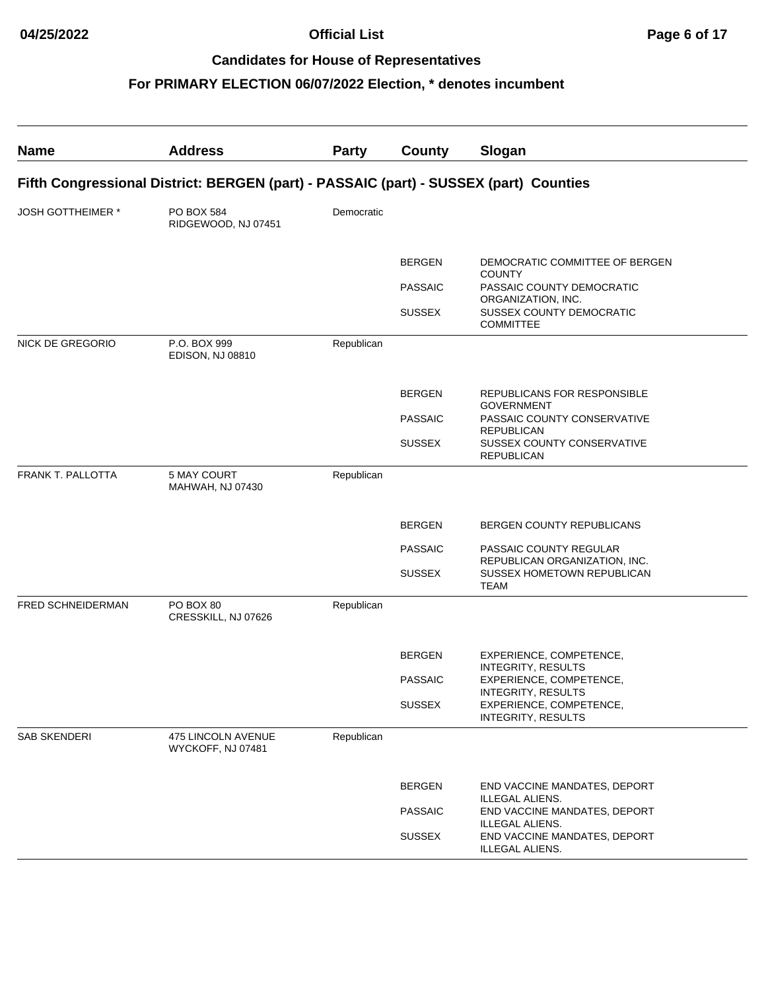| <b>Name</b>                                                                           | <b>Address</b>                          | Party      | County         | Slogan                                                  |  |  |  |
|---------------------------------------------------------------------------------------|-----------------------------------------|------------|----------------|---------------------------------------------------------|--|--|--|
| Fifth Congressional District: BERGEN (part) - PASSAIC (part) - SUSSEX (part) Counties |                                         |            |                |                                                         |  |  |  |
| <b>JOSH GOTTHEIMER *</b>                                                              | PO BOX 584<br>RIDGEWOOD, NJ 07451       | Democratic |                |                                                         |  |  |  |
|                                                                                       |                                         |            | <b>BERGEN</b>  | DEMOCRATIC COMMITTEE OF BERGEN<br><b>COUNTY</b>         |  |  |  |
|                                                                                       |                                         |            | <b>PASSAIC</b> | PASSAIC COUNTY DEMOCRATIC<br>ORGANIZATION, INC.         |  |  |  |
|                                                                                       |                                         |            | <b>SUSSEX</b>  | <b>SUSSEX COUNTY DEMOCRATIC</b><br><b>COMMITTEE</b>     |  |  |  |
| NICK DE GREGORIO                                                                      | P.O. BOX 999<br><b>EDISON, NJ 08810</b> | Republican |                |                                                         |  |  |  |
|                                                                                       |                                         |            | <b>BERGEN</b>  | REPUBLICANS FOR RESPONSIBLE<br><b>GOVERNMENT</b>        |  |  |  |
|                                                                                       |                                         |            | <b>PASSAIC</b> | PASSAIC COUNTY CONSERVATIVE<br><b>REPUBLICAN</b>        |  |  |  |
|                                                                                       |                                         |            | <b>SUSSEX</b>  | SUSSEX COUNTY CONSERVATIVE<br><b>REPUBLICAN</b>         |  |  |  |
| <b>FRANK T. PALLOTTA</b>                                                              | <b>5 MAY COURT</b><br>MAHWAH, NJ 07430  | Republican |                |                                                         |  |  |  |
|                                                                                       |                                         |            | <b>BERGEN</b>  | BERGEN COUNTY REPUBLICANS                               |  |  |  |
|                                                                                       |                                         |            | <b>PASSAIC</b> | PASSAIC COUNTY REGULAR<br>REPUBLICAN ORGANIZATION, INC. |  |  |  |
|                                                                                       |                                         |            | <b>SUSSEX</b>  | SUSSEX HOMETOWN REPUBLICAN<br><b>TEAM</b>               |  |  |  |
| FRED SCHNEIDERMAN                                                                     | PO BOX 80<br>CRESSKILL, NJ 07626        | Republican |                |                                                         |  |  |  |
|                                                                                       |                                         |            | <b>BERGEN</b>  | EXPERIENCE, COMPETENCE,<br><b>INTEGRITY, RESULTS</b>    |  |  |  |
|                                                                                       |                                         |            | <b>PASSAIC</b> | EXPERIENCE, COMPETENCE,<br>INTEGRITY, RESULTS           |  |  |  |
|                                                                                       |                                         |            | <b>SUSSEX</b>  | EXPERIENCE, COMPETENCE,<br><b>INTEGRITY, RESULTS</b>    |  |  |  |
| SAB SKENDERI                                                                          | 475 LINCOLN AVENUE<br>WYCKOFF, NJ 07481 | Republican |                |                                                         |  |  |  |
|                                                                                       |                                         |            | <b>BERGEN</b>  | END VACCINE MANDATES, DEPORT<br>ILLEGAL ALIENS.         |  |  |  |
|                                                                                       |                                         |            | <b>PASSAIC</b> | END VACCINE MANDATES, DEPORT<br>ILLEGAL ALIENS.         |  |  |  |
|                                                                                       |                                         |            | <b>SUSSEX</b>  | END VACCINE MANDATES, DEPORT<br>ILLEGAL ALIENS.         |  |  |  |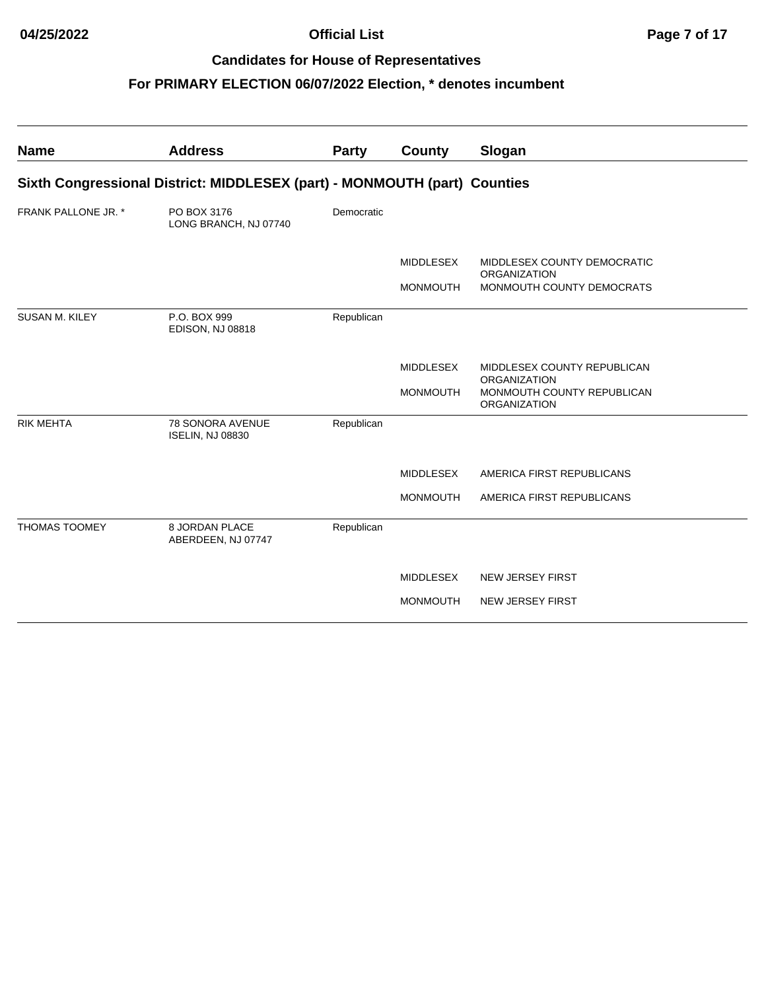| <b>Name</b>                | <b>Address</b>                                                            | Party      | County           | Slogan                                                            |
|----------------------------|---------------------------------------------------------------------------|------------|------------------|-------------------------------------------------------------------|
|                            | Sixth Congressional District: MIDDLESEX (part) - MONMOUTH (part) Counties |            |                  |                                                                   |
| <b>FRANK PALLONE JR. *</b> | PO BOX 3176<br>LONG BRANCH, NJ 07740                                      | Democratic |                  |                                                                   |
|                            |                                                                           |            | <b>MIDDLESEX</b> | MIDDLESEX COUNTY DEMOCRATIC<br><b>ORGANIZATION</b>                |
|                            |                                                                           |            | <b>MONMOUTH</b>  | MONMOUTH COUNTY DEMOCRATS                                         |
| <b>SUSAN M. KILEY</b>      | P.O. BOX 999<br><b>EDISON, NJ 08818</b>                                   | Republican |                  |                                                                   |
|                            |                                                                           |            | <b>MIDDLESEX</b> | MIDDLESEX COUNTY REPUBLICAN                                       |
|                            |                                                                           |            | <b>MONMOUTH</b>  | <b>ORGANIZATION</b><br>MONMOUTH COUNTY REPUBLICAN<br>ORGANIZATION |
| <b>RIK MEHTA</b>           | <b>78 SONORA AVENUE</b><br><b>ISELIN, NJ 08830</b>                        | Republican |                  |                                                                   |
|                            |                                                                           |            | <b>MIDDLESEX</b> | AMERICA FIRST REPUBLICANS                                         |
|                            |                                                                           |            | <b>MONMOUTH</b>  | AMERICA FIRST REPUBLICANS                                         |
| <b>THOMAS TOOMEY</b>       | 8 JORDAN PLACE<br>ABERDEEN, NJ 07747                                      | Republican |                  |                                                                   |
|                            |                                                                           |            | MIDDLESEX        | <b>NEW JERSEY FIRST</b>                                           |
|                            |                                                                           |            | <b>MONMOUTH</b>  | <b>NEW JERSEY FIRST</b>                                           |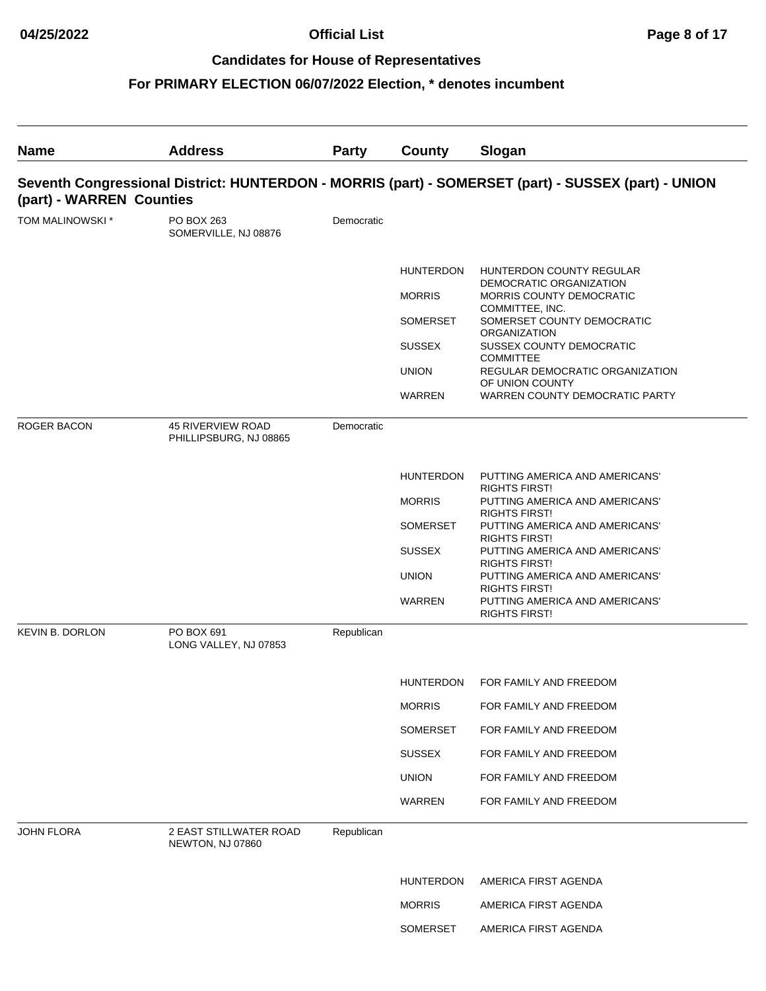| <b>Name</b>            | <b>Address</b>                                                                                                                  | <b>Party</b> | County                            | Slogan                                                                                                    |  |  |  |  |
|------------------------|---------------------------------------------------------------------------------------------------------------------------------|--------------|-----------------------------------|-----------------------------------------------------------------------------------------------------------|--|--|--|--|
|                        | Seventh Congressional District: HUNTERDON - MORRIS (part) - SOMERSET (part) - SUSSEX (part) - UNION<br>(part) - WARREN Counties |              |                                   |                                                                                                           |  |  |  |  |
| TOM MALINOWSKI *       | PO BOX 263<br>SOMERVILLE, NJ 08876                                                                                              | Democratic   |                                   |                                                                                                           |  |  |  |  |
|                        |                                                                                                                                 |              | <b>HUNTERDON</b><br><b>MORRIS</b> | HUNTERDON COUNTY REGULAR<br>DEMOCRATIC ORGANIZATION<br><b>MORRIS COUNTY DEMOCRATIC</b><br>COMMITTEE, INC. |  |  |  |  |
|                        |                                                                                                                                 |              | <b>SOMERSET</b><br><b>SUSSEX</b>  | SOMERSET COUNTY DEMOCRATIC<br><b>ORGANIZATION</b><br>SUSSEX COUNTY DEMOCRATIC                             |  |  |  |  |
|                        |                                                                                                                                 |              | <b>UNION</b>                      | <b>COMMITTEE</b><br>REGULAR DEMOCRATIC ORGANIZATION<br>OF UNION COUNTY                                    |  |  |  |  |
|                        |                                                                                                                                 |              | WARREN                            | WARREN COUNTY DEMOCRATIC PARTY                                                                            |  |  |  |  |
| <b>ROGER BACON</b>     | <b>45 RIVERVIEW ROAD</b><br>PHILLIPSBURG, NJ 08865                                                                              | Democratic   |                                   |                                                                                                           |  |  |  |  |
|                        |                                                                                                                                 |              | <b>HUNTERDON</b>                  | PUTTING AMERICA AND AMERICANS'                                                                            |  |  |  |  |
|                        |                                                                                                                                 |              | <b>MORRIS</b>                     | <b>RIGHTS FIRST!</b><br>PUTTING AMERICA AND AMERICANS'<br><b>RIGHTS FIRST!</b>                            |  |  |  |  |
|                        |                                                                                                                                 |              | <b>SOMERSET</b>                   | PUTTING AMERICA AND AMERICANS'<br><b>RIGHTS FIRST!</b>                                                    |  |  |  |  |
|                        |                                                                                                                                 |              | <b>SUSSEX</b>                     | PUTTING AMERICA AND AMERICANS'<br><b>RIGHTS FIRST!</b>                                                    |  |  |  |  |
|                        |                                                                                                                                 |              | <b>UNION</b>                      | PUTTING AMERICA AND AMERICANS'<br><b>RIGHTS FIRST!</b>                                                    |  |  |  |  |
|                        |                                                                                                                                 |              | WARREN                            | PUTTING AMERICA AND AMERICANS'<br><b>RIGHTS FIRST!</b>                                                    |  |  |  |  |
| <b>KEVIN B. DORLON</b> | PO BOX 691<br>LONG VALLEY, NJ 07853                                                                                             | Republican   |                                   |                                                                                                           |  |  |  |  |
|                        |                                                                                                                                 |              | <b>HUNTERDON</b>                  | FOR FAMILY AND FREEDOM                                                                                    |  |  |  |  |
|                        |                                                                                                                                 |              | <b>MORRIS</b>                     | FOR FAMILY AND FREEDOM                                                                                    |  |  |  |  |
|                        |                                                                                                                                 |              | SOMERSET                          | FOR FAMILY AND FREEDOM                                                                                    |  |  |  |  |
|                        |                                                                                                                                 |              | <b>SUSSEX</b>                     | FOR FAMILY AND FREEDOM                                                                                    |  |  |  |  |
|                        |                                                                                                                                 |              | <b>UNION</b>                      | FOR FAMILY AND FREEDOM                                                                                    |  |  |  |  |
|                        |                                                                                                                                 |              | WARREN                            | FOR FAMILY AND FREEDOM                                                                                    |  |  |  |  |
| <b>JOHN FLORA</b>      | 2 EAST STILLWATER ROAD<br>NEWTON, NJ 07860                                                                                      | Republican   |                                   |                                                                                                           |  |  |  |  |
|                        |                                                                                                                                 |              | <b>HUNTERDON</b>                  | AMERICA FIRST AGENDA                                                                                      |  |  |  |  |
|                        |                                                                                                                                 |              | <b>MORRIS</b>                     | AMERICA FIRST AGENDA                                                                                      |  |  |  |  |
|                        |                                                                                                                                 |              | SOMERSET                          | AMERICA FIRST AGENDA                                                                                      |  |  |  |  |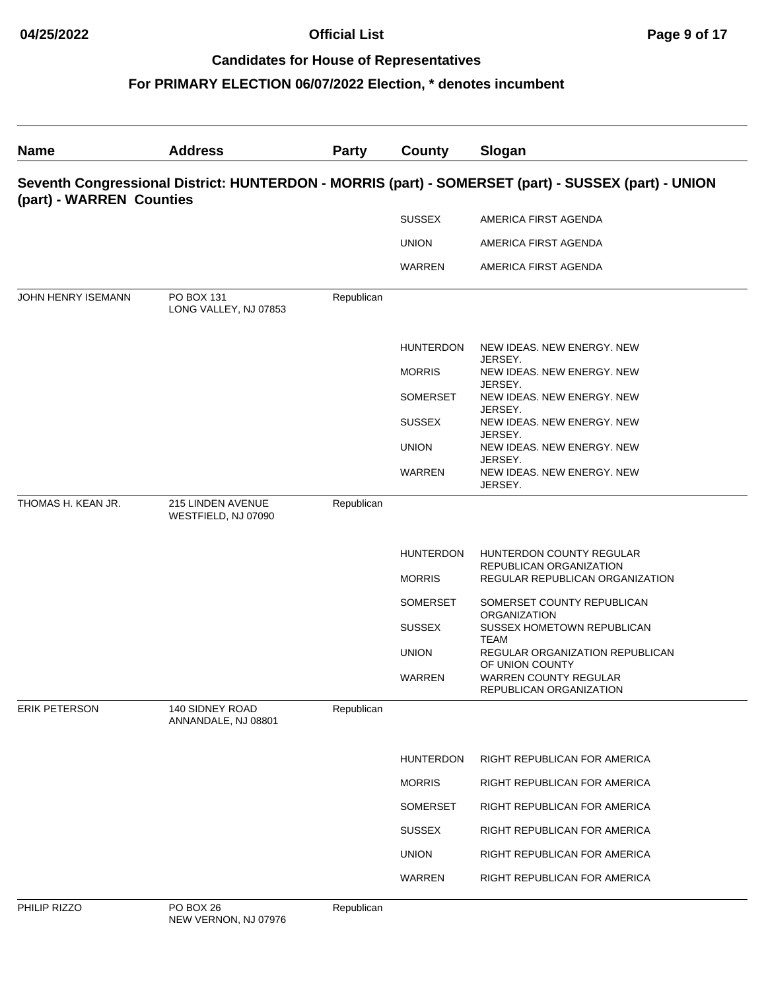# **For PRIMARY ELECTION 06/07/2022 Election, \* denotes incumbent**

| <b>Name</b>          | <b>Address</b>                                                                                                                  | <b>Party</b> | County           | Slogan                                                  |  |  |  |
|----------------------|---------------------------------------------------------------------------------------------------------------------------------|--------------|------------------|---------------------------------------------------------|--|--|--|
|                      | Seventh Congressional District: HUNTERDON - MORRIS (part) - SOMERSET (part) - SUSSEX (part) - UNION<br>(part) - WARREN Counties |              |                  |                                                         |  |  |  |
|                      |                                                                                                                                 |              | <b>SUSSEX</b>    | AMERICA FIRST AGENDA                                    |  |  |  |
|                      |                                                                                                                                 |              | <b>UNION</b>     | AMERICA FIRST AGENDA                                    |  |  |  |
|                      |                                                                                                                                 |              | WARREN           | AMERICA FIRST AGENDA                                    |  |  |  |
| JOHN HENRY ISEMANN   | PO BOX 131<br>LONG VALLEY, NJ 07853                                                                                             | Republican   |                  |                                                         |  |  |  |
|                      |                                                                                                                                 |              | <b>HUNTERDON</b> | NEW IDEAS. NEW ENERGY. NEW<br>JERSEY.                   |  |  |  |
|                      |                                                                                                                                 |              | <b>MORRIS</b>    | NEW IDEAS. NEW ENERGY. NEW<br>JERSEY.                   |  |  |  |
|                      |                                                                                                                                 |              | <b>SOMERSET</b>  | NEW IDEAS. NEW ENERGY. NEW                              |  |  |  |
|                      |                                                                                                                                 |              | <b>SUSSEX</b>    | JERSEY.<br>NEW IDEAS. NEW ENERGY. NEW                   |  |  |  |
|                      |                                                                                                                                 |              | <b>UNION</b>     | JERSEY.<br>NEW IDEAS. NEW ENERGY. NEW                   |  |  |  |
|                      |                                                                                                                                 |              | WARREN           | JERSEY.<br>NEW IDEAS. NEW ENERGY. NEW<br>JERSEY.        |  |  |  |
| THOMAS H. KEAN JR.   | 215 LINDEN AVENUE<br>WESTFIELD, NJ 07090                                                                                        | Republican   |                  |                                                         |  |  |  |
|                      |                                                                                                                                 |              | <b>HUNTERDON</b> | HUNTERDON COUNTY REGULAR<br>REPUBLICAN ORGANIZATION     |  |  |  |
|                      |                                                                                                                                 |              | <b>MORRIS</b>    | REGULAR REPUBLICAN ORGANIZATION                         |  |  |  |
|                      |                                                                                                                                 |              | SOMERSET         | SOMERSET COUNTY REPUBLICAN<br><b>ORGANIZATION</b>       |  |  |  |
|                      |                                                                                                                                 |              | <b>SUSSEX</b>    | SUSSEX HOMETOWN REPUBLICAN<br><b>TEAM</b>               |  |  |  |
|                      |                                                                                                                                 |              | <b>UNION</b>     | REGULAR ORGANIZATION REPUBLICAN<br>OF UNION COUNTY      |  |  |  |
|                      |                                                                                                                                 |              | WARREN           | <b>WARREN COUNTY REGULAR</b><br>REPUBLICAN ORGANIZATION |  |  |  |
| <b>ERIK PETERSON</b> | 140 SIDNEY ROAD<br>ANNANDALE, NJ 08801                                                                                          | Republican   |                  |                                                         |  |  |  |
|                      |                                                                                                                                 |              | <b>HUNTERDON</b> | RIGHT REPUBLICAN FOR AMERICA                            |  |  |  |
|                      |                                                                                                                                 |              | <b>MORRIS</b>    | RIGHT REPUBLICAN FOR AMERICA                            |  |  |  |
|                      |                                                                                                                                 |              | SOMERSET         | RIGHT REPUBLICAN FOR AMERICA                            |  |  |  |
|                      |                                                                                                                                 |              | <b>SUSSEX</b>    | RIGHT REPUBLICAN FOR AMERICA                            |  |  |  |
|                      |                                                                                                                                 |              | <b>UNION</b>     | RIGHT REPUBLICAN FOR AMERICA                            |  |  |  |
|                      |                                                                                                                                 |              | WARREN           | RIGHT REPUBLICAN FOR AMERICA                            |  |  |  |
| PHILIP RIZZO         | PO BOX 26                                                                                                                       | Republican   |                  |                                                         |  |  |  |

epublica).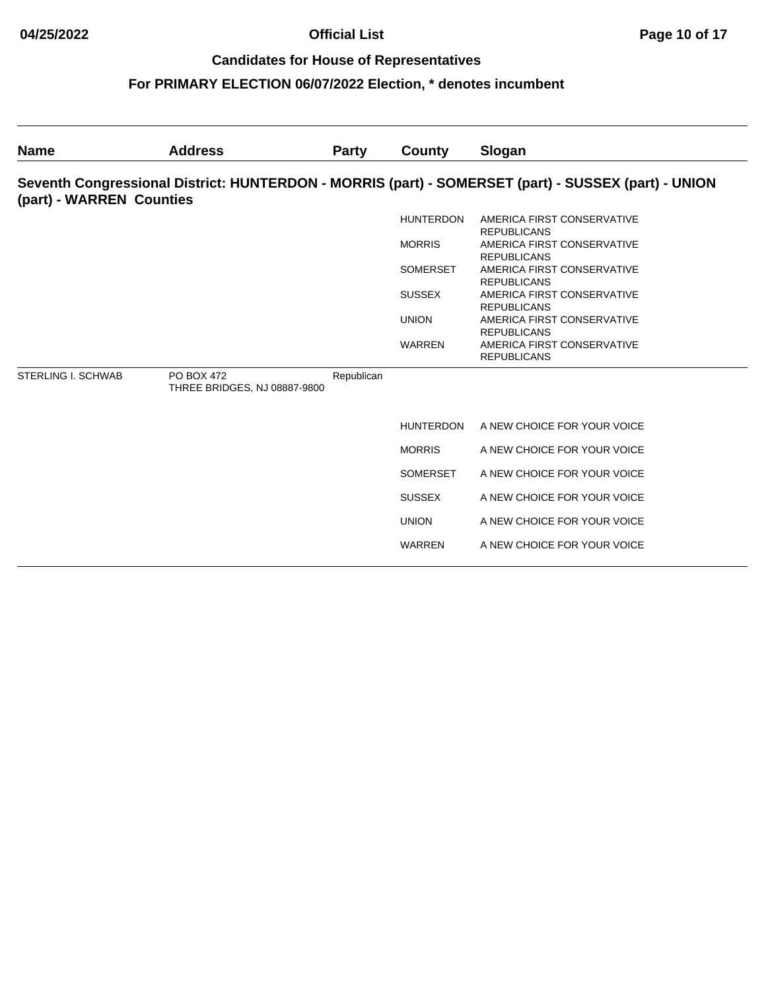| <b>Name</b>               | <b>Address</b>                                    | <b>Party</b> | County           | Slogan                                                                                              |
|---------------------------|---------------------------------------------------|--------------|------------------|-----------------------------------------------------------------------------------------------------|
| (part) - WARREN Counties  |                                                   |              |                  | Seventh Congressional District: HUNTERDON - MORRIS (part) - SOMERSET (part) - SUSSEX (part) - UNION |
|                           |                                                   |              | <b>HUNTERDON</b> | AMERICA FIRST CONSERVATIVE<br><b>REPUBLICANS</b>                                                    |
|                           |                                                   |              | <b>MORRIS</b>    | AMERICA FIRST CONSERVATIVE<br><b>REPUBLICANS</b>                                                    |
|                           |                                                   |              | <b>SOMERSET</b>  | AMERICA FIRST CONSERVATIVE                                                                          |
|                           |                                                   |              | <b>SUSSEX</b>    | <b>REPUBLICANS</b><br>AMERICA FIRST CONSERVATIVE<br><b>REPUBLICANS</b>                              |
|                           |                                                   |              | <b>UNION</b>     | AMERICA FIRST CONSERVATIVE<br><b>REPUBLICANS</b>                                                    |
|                           |                                                   |              | <b>WARREN</b>    | AMERICA FIRST CONSERVATIVE<br><b>REPUBLICANS</b>                                                    |
| <b>STERLING I. SCHWAB</b> | <b>PO BOX 472</b><br>THREE BRIDGES, NJ 08887-9800 | Republican   |                  |                                                                                                     |
|                           |                                                   |              | <b>HUNTERDON</b> | A NEW CHOICE FOR YOUR VOICE                                                                         |
|                           |                                                   |              | <b>MORRIS</b>    | A NEW CHOICE FOR YOUR VOICE                                                                         |
|                           |                                                   |              | <b>SOMERSET</b>  | A NEW CHOICE FOR YOUR VOICE                                                                         |
|                           |                                                   |              | <b>SUSSEX</b>    | A NEW CHOICE FOR YOUR VOICE                                                                         |
|                           |                                                   |              | <b>UNION</b>     | A NEW CHOICE FOR YOUR VOICE                                                                         |
|                           |                                                   |              | <b>WARREN</b>    | A NEW CHOICE FOR YOUR VOICE                                                                         |
|                           |                                                   |              |                  |                                                                                                     |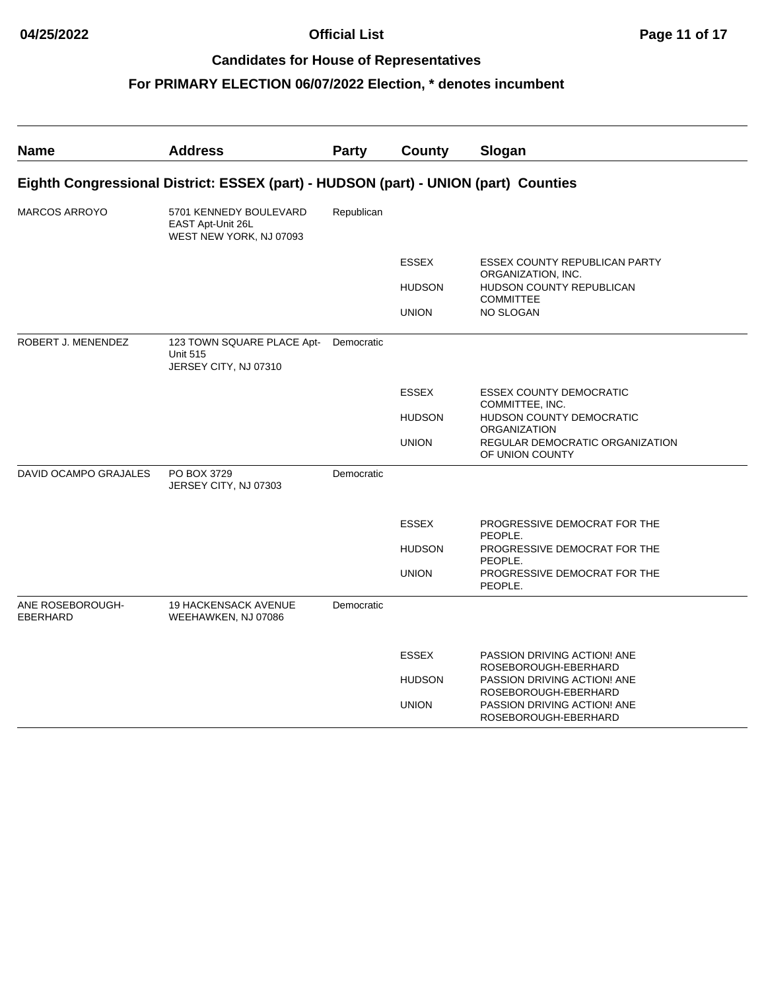| <b>Name</b>                         | <b>Address</b>                                                                      | <b>Party</b> | County        | Slogan                                                                      |
|-------------------------------------|-------------------------------------------------------------------------------------|--------------|---------------|-----------------------------------------------------------------------------|
|                                     | Eighth Congressional District: ESSEX (part) - HUDSON (part) - UNION (part) Counties |              |               |                                                                             |
| <b>MARCOS ARROYO</b>                | 5701 KENNEDY BOULEVARD<br>EAST Apt-Unit 26L<br>WEST NEW YORK, NJ 07093              | Republican   |               |                                                                             |
|                                     |                                                                                     |              | <b>ESSEX</b>  | <b>ESSEX COUNTY REPUBLICAN PARTY</b>                                        |
|                                     |                                                                                     |              | <b>HUDSON</b> | ORGANIZATION, INC.<br>HUDSON COUNTY REPUBLICAN<br><b>COMMITTEE</b>          |
|                                     |                                                                                     |              | <b>UNION</b>  | <b>NO SLOGAN</b>                                                            |
| ROBERT J. MENENDEZ                  | 123 TOWN SQUARE PLACE Apt-<br><b>Unit 515</b><br>JERSEY CITY, NJ 07310              | Democratic   |               |                                                                             |
|                                     |                                                                                     |              | <b>ESSEX</b>  | <b>ESSEX COUNTY DEMOCRATIC</b><br>COMMITTEE, INC.                           |
|                                     |                                                                                     |              | <b>HUDSON</b> | <b>HUDSON COUNTY DEMOCRATIC</b><br><b>ORGANIZATION</b>                      |
|                                     |                                                                                     |              | <b>UNION</b>  | REGULAR DEMOCRATIC ORGANIZATION<br>OF UNION COUNTY                          |
| DAVID OCAMPO GRAJALES               | PO BOX 3729<br>JERSEY CITY, NJ 07303                                                | Democratic   |               |                                                                             |
|                                     |                                                                                     |              | <b>ESSEX</b>  | PROGRESSIVE DEMOCRAT FOR THE<br>PEOPLE.                                     |
|                                     |                                                                                     |              | <b>HUDSON</b> | PROGRESSIVE DEMOCRAT FOR THE<br>PEOPLE.                                     |
|                                     |                                                                                     |              | <b>UNION</b>  | PROGRESSIVE DEMOCRAT FOR THE<br>PEOPLE.                                     |
| ANE ROSEBOROUGH-<br><b>EBERHARD</b> | <b>19 HACKENSACK AVENUE</b><br>WEEHAWKEN, NJ 07086                                  | Democratic   |               |                                                                             |
|                                     |                                                                                     |              | <b>ESSEX</b>  | <b>PASSION DRIVING ACTION! ANE</b>                                          |
|                                     |                                                                                     |              | <b>HUDSON</b> | ROSEBOROUGH-EBERHARD<br>PASSION DRIVING ACTION! ANE                         |
|                                     |                                                                                     |              | <b>UNION</b>  | ROSEBOROUGH-EBERHARD<br>PASSION DRIVING ACTION! ANE<br>ROSEBOROUGH-EBERHARD |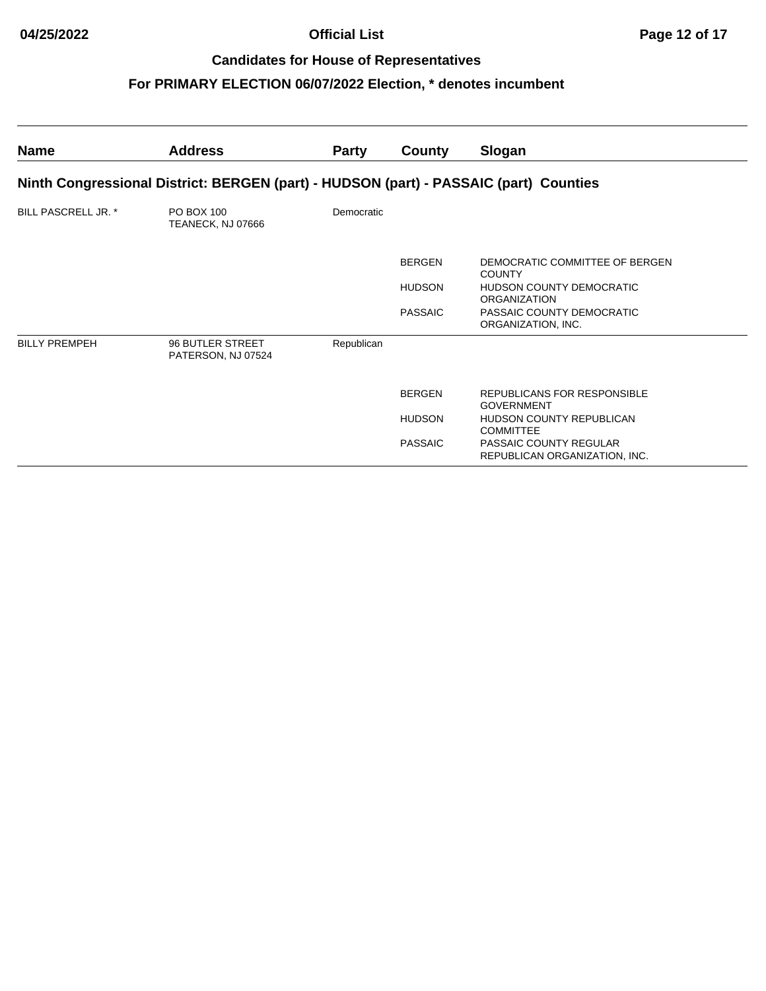| Name                       | <b>Address</b>                                                                        | <b>Party</b> | County         | Slogan                                                  |
|----------------------------|---------------------------------------------------------------------------------------|--------------|----------------|---------------------------------------------------------|
|                            | Ninth Congressional District: BERGEN (part) - HUDSON (part) - PASSAIC (part) Counties |              |                |                                                         |
| <b>BILL PASCRELL JR. *</b> | PO BOX 100<br>TEANECK, NJ 07666                                                       | Democratic   |                |                                                         |
|                            |                                                                                       |              | <b>BERGEN</b>  | DEMOCRATIC COMMITTEE OF BERGEN<br><b>COUNTY</b>         |
|                            |                                                                                       |              | <b>HUDSON</b>  | <b>HUDSON COUNTY DEMOCRATIC</b><br><b>ORGANIZATION</b>  |
|                            |                                                                                       |              | <b>PASSAIC</b> | PASSAIC COUNTY DEMOCRATIC<br>ORGANIZATION, INC.         |
| <b>BILLY PREMPEH</b>       | 96 BUTLER STREET<br>PATERSON, NJ 07524                                                | Republican   |                |                                                         |
|                            |                                                                                       |              | <b>BERGEN</b>  | REPUBLICANS FOR RESPONSIBLE<br><b>GOVERNMENT</b>        |
|                            |                                                                                       |              | <b>HUDSON</b>  | <b>HUDSON COUNTY REPUBLICAN</b><br><b>COMMITTEE</b>     |
|                            |                                                                                       |              | <b>PASSAIC</b> | PASSAIC COUNTY REGULAR<br>REPUBLICAN ORGANIZATION, INC. |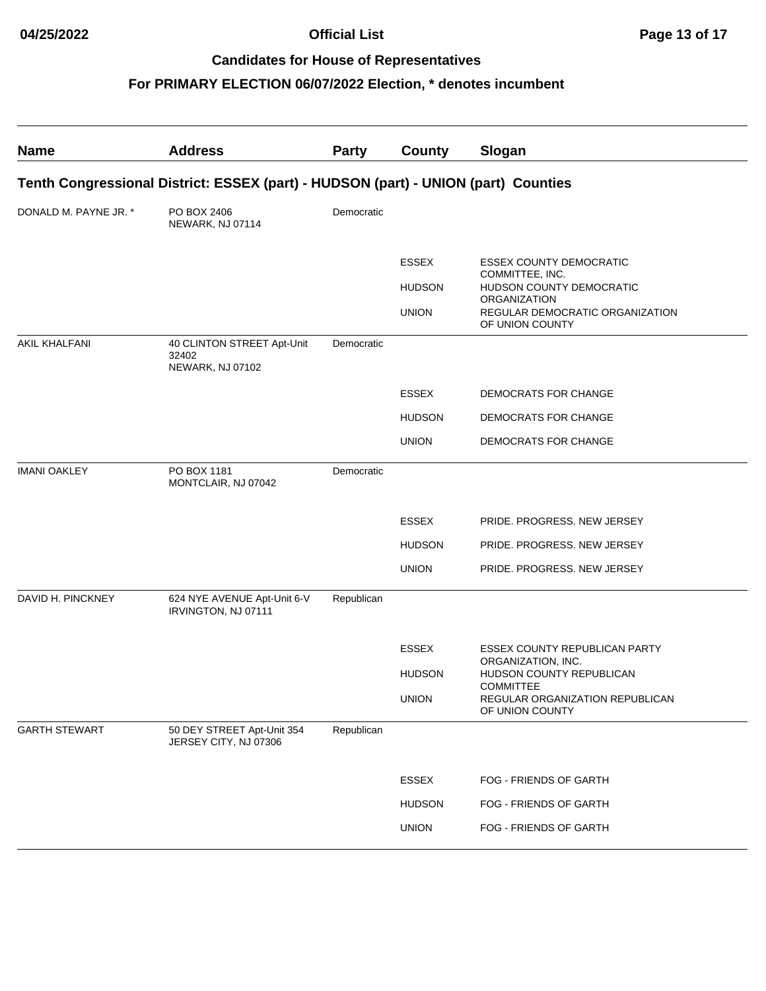| <b>Name</b>           | <b>Address</b>                                                                     | <b>Party</b> | County        | Slogan                                                                 |
|-----------------------|------------------------------------------------------------------------------------|--------------|---------------|------------------------------------------------------------------------|
|                       | Tenth Congressional District: ESSEX (part) - HUDSON (part) - UNION (part) Counties |              |               |                                                                        |
| DONALD M. PAYNE JR. * | PO BOX 2406<br>NEWARK, NJ 07114                                                    | Democratic   |               |                                                                        |
|                       |                                                                                    |              | <b>ESSEX</b>  | <b>ESSEX COUNTY DEMOCRATIC</b><br>COMMITTEE, INC.                      |
|                       |                                                                                    |              | <b>HUDSON</b> | HUDSON COUNTY DEMOCRATIC<br>ORGANIZATION                               |
|                       |                                                                                    |              | <b>UNION</b>  | REGULAR DEMOCRATIC ORGANIZATION<br>OF UNION COUNTY                     |
| <b>AKIL KHALFANI</b>  | 40 CLINTON STREET Apt-Unit<br>32402                                                | Democratic   |               |                                                                        |
|                       | NEWARK, NJ 07102                                                                   |              |               |                                                                        |
|                       |                                                                                    |              | <b>ESSEX</b>  | DEMOCRATS FOR CHANGE                                                   |
|                       |                                                                                    |              | <b>HUDSON</b> | DEMOCRATS FOR CHANGE                                                   |
|                       |                                                                                    |              | <b>UNION</b>  | DEMOCRATS FOR CHANGE                                                   |
| <b>IMANI OAKLEY</b>   | PO BOX 1181<br>MONTCLAIR, NJ 07042                                                 | Democratic   |               |                                                                        |
|                       |                                                                                    |              | <b>ESSEX</b>  | PRIDE. PROGRESS. NEW JERSEY                                            |
|                       |                                                                                    |              | <b>HUDSON</b> | PRIDE. PROGRESS. NEW JERSEY                                            |
|                       |                                                                                    |              | <b>UNION</b>  | PRIDE. PROGRESS. NEW JERSEY                                            |
| DAVID H. PINCKNEY     | 624 NYE AVENUE Apt-Unit 6-V<br>IRVINGTON, NJ 07111                                 | Republican   |               |                                                                        |
|                       |                                                                                    |              | <b>ESSEX</b>  | ESSEX COUNTY REPUBLICAN PARTY                                          |
|                       |                                                                                    |              | <b>HUDSON</b> | ORGANIZATION, INC.<br>HUDSON COUNTY REPUBLICAN                         |
|                       |                                                                                    |              | <b>UNION</b>  | <b>COMMITTEE</b><br>REGULAR ORGANIZATION REPUBLICAN<br>OF UNION COUNTY |
| <b>GARTH STEWART</b>  | 50 DEY STREET Apt-Unit 354<br>JERSEY CITY, NJ 07306                                | Republican   |               |                                                                        |
|                       |                                                                                    |              | ESSEX         | FOG - FRIENDS OF GARTH                                                 |
|                       |                                                                                    |              | <b>HUDSON</b> | FOG - FRIENDS OF GARTH                                                 |
|                       |                                                                                    |              | <b>UNION</b>  | FOG - FRIENDS OF GARTH                                                 |
|                       |                                                                                    |              |               |                                                                        |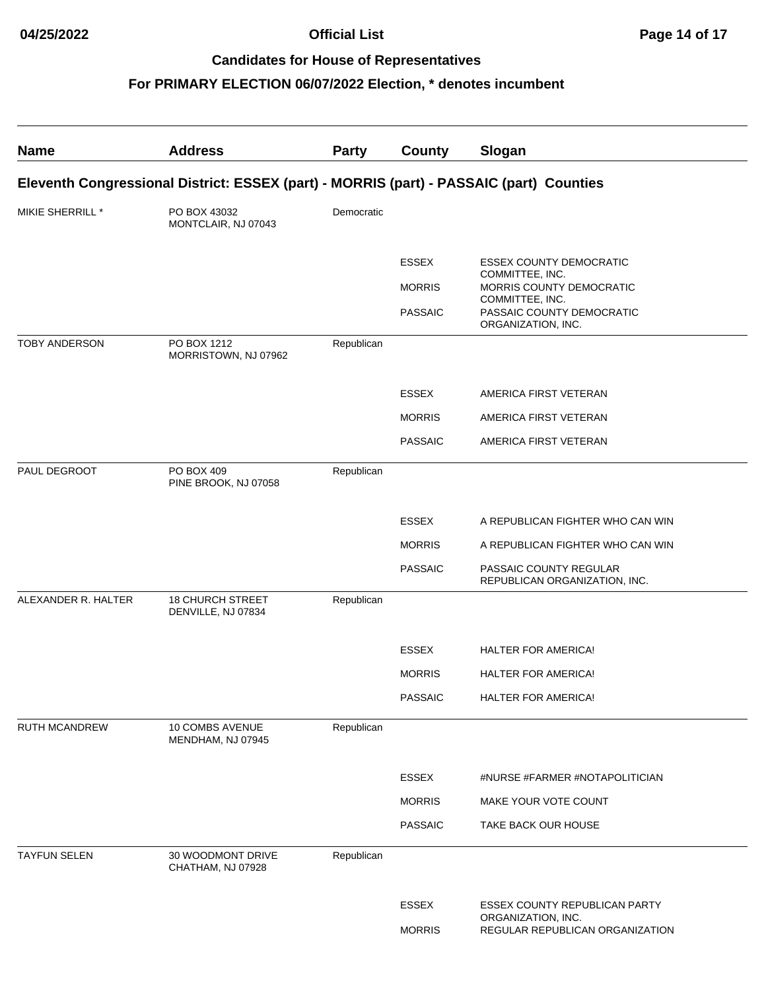| <b>Name</b>          | <b>Address</b>                                                                          | <b>Party</b> | <b>County</b>                 | Slogan                                                                                 |
|----------------------|-----------------------------------------------------------------------------------------|--------------|-------------------------------|----------------------------------------------------------------------------------------|
|                      | Eleventh Congressional District: ESSEX (part) - MORRIS (part) - PASSAIC (part) Counties |              |                               |                                                                                        |
| MIKIE SHERRILL *     | PO BOX 43032<br>MONTCLAIR, NJ 07043                                                     | Democratic   |                               |                                                                                        |
|                      |                                                                                         |              | <b>ESSEX</b>                  | <b>ESSEX COUNTY DEMOCRATIC</b>                                                         |
|                      |                                                                                         |              | <b>MORRIS</b>                 | COMMITTEE, INC.<br>MORRIS COUNTY DEMOCRATIC                                            |
|                      |                                                                                         |              | <b>PASSAIC</b>                | COMMITTEE, INC.<br>PASSAIC COUNTY DEMOCRATIC<br>ORGANIZATION, INC.                     |
| <b>TOBY ANDERSON</b> | PO BOX 1212<br>MORRISTOWN, NJ 07962                                                     | Republican   |                               |                                                                                        |
|                      |                                                                                         |              | <b>ESSEX</b>                  | AMERICA FIRST VETERAN                                                                  |
|                      |                                                                                         |              | <b>MORRIS</b>                 | AMERICA FIRST VETERAN                                                                  |
|                      |                                                                                         |              | <b>PASSAIC</b>                | AMERICA FIRST VETERAN                                                                  |
| PAUL DEGROOT         | PO BOX 409<br>PINE BROOK, NJ 07058                                                      | Republican   |                               |                                                                                        |
|                      |                                                                                         |              | <b>ESSEX</b>                  | A REPUBLICAN FIGHTER WHO CAN WIN                                                       |
|                      |                                                                                         |              | <b>MORRIS</b>                 | A REPUBLICAN FIGHTER WHO CAN WIN                                                       |
|                      |                                                                                         |              | <b>PASSAIC</b>                | PASSAIC COUNTY REGULAR<br>REPUBLICAN ORGANIZATION, INC.                                |
| ALEXANDER R. HALTER  | <b>18 CHURCH STREET</b><br>DENVILLE, NJ 07834                                           | Republican   |                               |                                                                                        |
|                      |                                                                                         |              | <b>ESSEX</b>                  | <b>HALTER FOR AMERICA!</b>                                                             |
|                      |                                                                                         |              | <b>MORRIS</b>                 | <b>HALTER FOR AMERICA!</b>                                                             |
|                      |                                                                                         |              | <b>PASSAIC</b>                | <b>HALTER FOR AMERICA!</b>                                                             |
| <b>RUTH MCANDREW</b> | 10 COMBS AVENUE<br>MENDHAM, NJ 07945                                                    | Republican   |                               |                                                                                        |
|                      |                                                                                         |              | <b>ESSEX</b>                  | #NURSE #FARMER #NOTAPOLITICIAN                                                         |
|                      |                                                                                         |              | <b>MORRIS</b>                 | MAKE YOUR VOTE COUNT                                                                   |
|                      |                                                                                         |              | <b>PASSAIC</b>                | TAKE BACK OUR HOUSE                                                                    |
| <b>TAYFUN SELEN</b>  | 30 WOODMONT DRIVE<br>CHATHAM, NJ 07928                                                  | Republican   |                               |                                                                                        |
|                      |                                                                                         |              | <b>ESSEX</b><br><b>MORRIS</b> | ESSEX COUNTY REPUBLICAN PARTY<br>ORGANIZATION, INC.<br>REGULAR REPUBLICAN ORGANIZATION |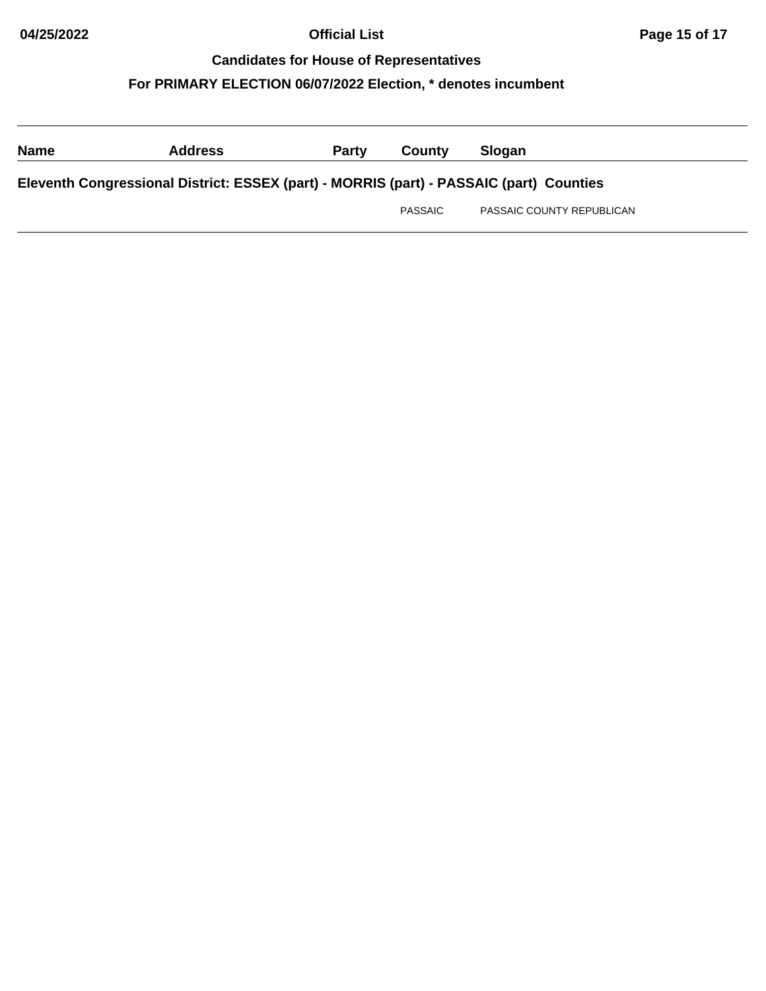| <b>Name</b>                                                                             | <b>Address</b> | <b>Party</b> | County  | <b>Slogan</b>             |  |
|-----------------------------------------------------------------------------------------|----------------|--------------|---------|---------------------------|--|
| Eleventh Congressional District: ESSEX (part) - MORRIS (part) - PASSAIC (part) Counties |                |              |         |                           |  |
|                                                                                         |                |              | PASSAIC | PASSAIC COUNTY REPUBLICAN |  |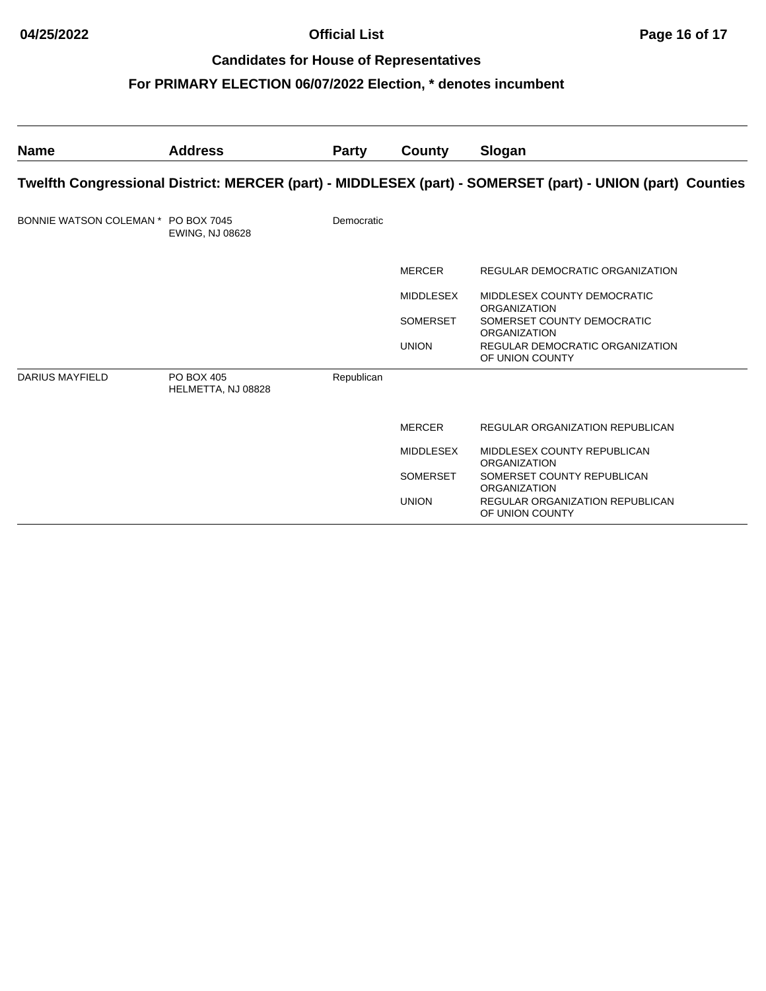| <b>Name</b>                         | <b>Address</b>                   | <b>Party</b> | County           | Slogan                                                                                                     |
|-------------------------------------|----------------------------------|--------------|------------------|------------------------------------------------------------------------------------------------------------|
|                                     |                                  |              |                  | Twelfth Congressional District: MERCER (part) - MIDDLESEX (part) - SOMERSET (part) - UNION (part) Counties |
| BONNIE WATSON COLEMAN * PO BOX 7045 | <b>EWING, NJ 08628</b>           | Democratic   |                  |                                                                                                            |
|                                     |                                  |              | <b>MERCER</b>    | REGULAR DEMOCRATIC ORGANIZATION                                                                            |
|                                     |                                  |              | MIDDLESEX        | MIDDLESEX COUNTY DEMOCRATIC<br><b>ORGANIZATION</b>                                                         |
|                                     |                                  |              | <b>SOMERSET</b>  | SOMERSET COUNTY DEMOCRATIC<br><b>ORGANIZATION</b>                                                          |
|                                     |                                  |              | <b>UNION</b>     | REGULAR DEMOCRATIC ORGANIZATION<br>OF UNION COUNTY                                                         |
| <b>DARIUS MAYFIELD</b>              | PO BOX 405<br>HELMETTA, NJ 08828 | Republican   |                  |                                                                                                            |
|                                     |                                  |              | <b>MERCER</b>    | REGULAR ORGANIZATION REPUBLICAN                                                                            |
|                                     |                                  |              | <b>MIDDLESEX</b> | MIDDLESEX COUNTY REPUBLICAN<br><b>ORGANIZATION</b>                                                         |
|                                     |                                  |              | <b>SOMERSET</b>  | SOMERSET COUNTY REPUBLICAN<br><b>ORGANIZATION</b>                                                          |
|                                     |                                  |              | <b>UNION</b>     | <b>REGULAR ORGANIZATION REPUBLICAN</b><br>OF UNION COUNTY                                                  |